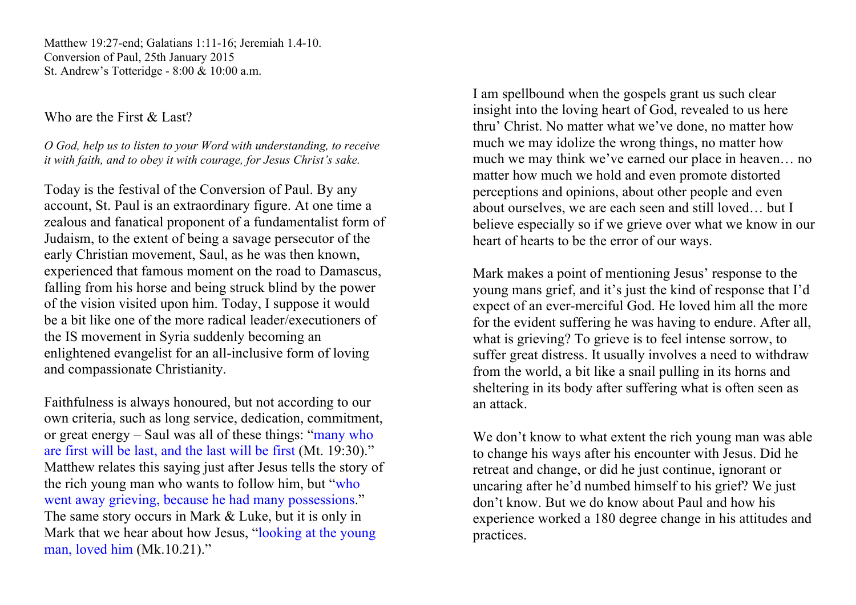Matthew 19:27-end; Galatians 1:11-16; Jeremiah 1.4-10. Conversion of Paul, 25th January 2015 St. Andrew's Totteridge - 8:00 & 10:00 a.m.

Who are the First & Last?

*O God, help us to listen to your Word with understanding, to receive it with faith, and to obey it with courage, for Jesus Christ's sake.* 

Today is the festival of the Conversion of Paul. By any account, St. Paul is an extraordinary figure. At one time a zealous and fanatical proponent of a fundamentalist form of Judaism, to the extent of being a savage persecutor of the early Christian movement, Saul, as he was then known, experienced that famous moment on the road to Damascus, falling from his horse and being struck blind by the power of the vision visited upon him. Today, I suppose it would be a bit like one of the more radical leader/executioners of the IS movement in Syria suddenly becoming an enlightened evangelist for an all-inclusive form of loving and compassionate Christianity.

Faithfulness is always honoured, but not according to our own criteria, such as long service, dedication, commitment, or great energy – Saul was all of these things: "many who are first will be last, and the last will be first (Mt. 19:30)." Matthew relates this saying just after Jesus tells the story of the rich young man who wants to follow him, but "who went away grieving, because he had many possessions." The same story occurs in Mark & Luke, but it is only in Mark that we hear about how Jesus, "looking at the young man, loved him (Mk.10.21)."

I am spellbound when the gospels grant us such clear insight into the loving heart of God, revealed to us here thru' Christ. No matter what we've done, no matter how much we may idolize the wrong things, no matter how much we may think we've earned our place in heaven… no matter how much we hold and even promote distorted perceptions and opinions, about other people and even about ourselves, we are each seen and still loved… but I believe especially so if we grieve over what we know in our heart of hearts to be the error of our ways.

Mark makes a point of mentioning Jesus' response to the young mans grief, and it's just the kind of response that I'd expect of an ever-merciful God. He loved him all the more for the evident suffering he was having to endure. After all, what is grieving? To grieve is to feel intense sorrow, to suffer great distress. It usually involves a need to withdraw from the world, a bit like a snail pulling in its horns and sheltering in its body after suffering what is often seen as an attack.

We don't know to what extent the rich young man was able to change his ways after his encounter with Jesus. Did he retreat and change, or did he just continue, ignorant or uncaring after he'd numbed himself to his grief? We just don't know. But we do know about Paul and how his experience worked a 180 degree change in his attitudes and practices.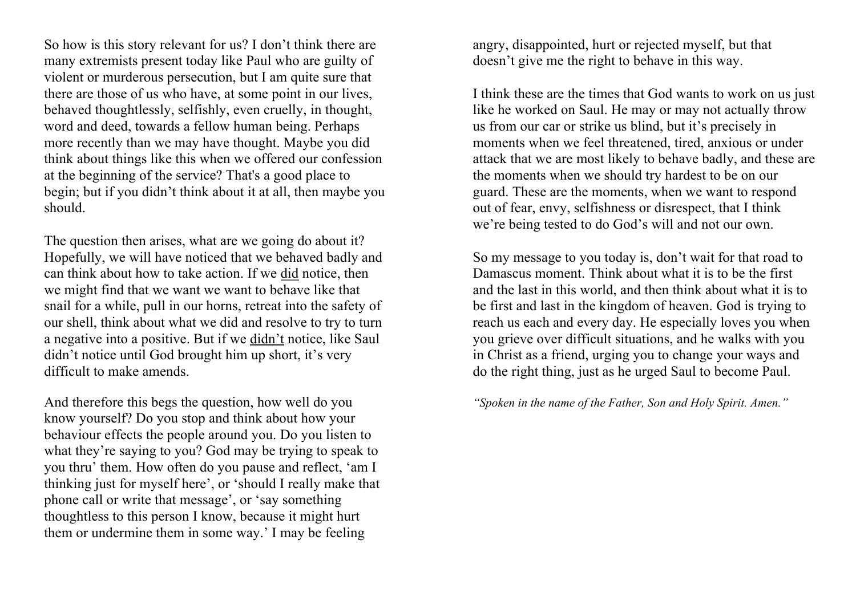So how is this story relevant for us? I don't think there are many extremists present today like Paul who are guilty of violent or murderous persecution, but I am quite sure that there are those of us who have, at some point in our lives, behaved thoughtlessly, selfishly, even cruelly, in thought, word and deed, towards a fellow human being. Perhaps more recently than we may have thought. Maybe you did think about things like this when we offered our confession at the beginning of the service? That's a good place to begin; but if you didn't think about it at all, then maybe you should.

The question then arises, what are we going do about it? Hopefully, we will have noticed that we behaved badly and can think about how to take action. If we did notice, then we might find that we want we want to behave like that snail for a while, pull in our horns, retreat into the safety of our shell, think about what we did and resolve to try to turn a negative into a positive. But if we didn't notice, like Saul didn't notice until God brought him up short, it's very difficult to make amends.

And therefore this begs the question, how well do you know yourself? Do you stop and think about how your behaviour effects the people around you. Do you listen to what they're saying to you? God may be trying to speak to you thru' them. How often do you pause and reflect, 'am I thinking just for myself here', or 'should I really make that phone call or write that message', or 'say something thoughtless to this person I know, because it might hurt them or undermine them in some way.' I may be feeling

angry, disappointed, hurt or rejected myself, but that doesn't give me the right to behave in this way.

I think these are the times that God wants to work on us just like he worked on Saul. He may or may not actually throw us from our car or strike us blind, but it's precisely in moments when we feel threatened, tired, anxious or under attack that we are most likely to behave badly, and these are the moments when we should try hardest to be on our guard. These are the moments, when we want to respond out of fear, envy, selfishness or disrespect, that I think we're being tested to do God's will and not our own.

So my message to you today is, don't wait for that road to Damascus moment. Think about what it is to be the first and the last in this world, and then think about what it is to be first and last in the kingdom of heaven. God is trying to reach us each and every day. He especially loves you when you grieve over difficult situations, and he walks with you in Christ as a friend, urging you to change your ways and do the right thing, just as he urged Saul to become Paul.

*"Spoken in the name of the Father, Son and Holy Spirit. Amen."*